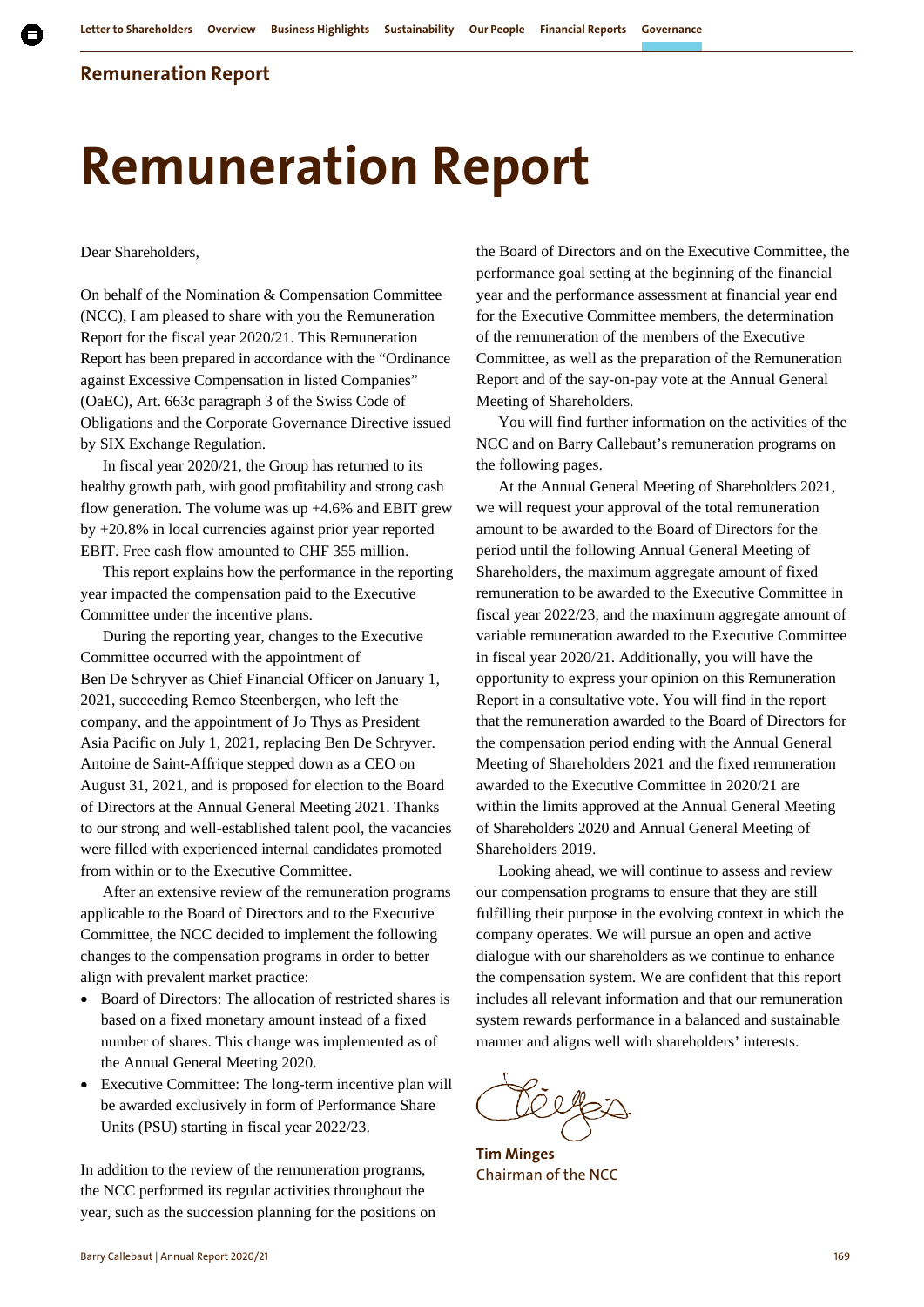# **Remuneration Report**

Dear Shareholders,

On behalf of the Nomination & Compensation Committee (NCC), I am pleased to share with you the Remuneration Report for the fiscal year 2020/21. This Remuneration Report has been prepared in accordance with the "Ordinance against Excessive Compensation in listed Companies" (OaEC), Art. 663c paragraph 3 of the Swiss Code of Obligations and the Corporate Governance Directive issued by SIX Exchange Regulation.

In fiscal year 2020/21, the Group has returned to its healthy growth path, with good profitability and strong cash flow generation. The volume was up  $+4.6\%$  and EBIT grew by +20.8% in local currencies against prior year reported EBIT. Free cash flow amounted to CHF 355 million.

This report explains how the performance in the reporting year impacted the compensation paid to the Executive Committee under the incentive plans.

During the reporting year, changes to the Executive Committee occurred with the appointment of Ben De Schryver as Chief Financial Officer on January 1, 2021, succeeding Remco Steenbergen, who left the company, and the appointment of Jo Thys as President Asia Pacific on July 1, 2021, replacing Ben De Schryver. Antoine de Saint-Affrique stepped down as a CEO on August 31, 2021, and is proposed for election to the Board of Directors at the Annual General Meeting 2021. Thanks to our strong and well-established talent pool, the vacancies were filled with experienced internal candidates promoted from within or to the Executive Committee.

After an extensive review of the remuneration programs applicable to the Board of Directors and to the Executive Committee, the NCC decided to implement the following changes to the compensation programs in order to better align with prevalent market practice:

- Board of Directors: The allocation of restricted shares is based on a fixed monetary amount instead of a fixed number of shares. This change was implemented as of the Annual General Meeting 2020.
- Executive Committee: The long-term incentive plan will be awarded exclusively in form of Performance Share Units (PSU) starting in fiscal year 2022/23.

In addition to the review of the remuneration programs, the NCC performed its regular activities throughout the year, such as the succession planning for the positions on

the Board of Directors and on the Executive Committee, the performance goal setting at the beginning of the financial year and the performance assessment at financial year end for the Executive Committee members, the determination of the remuneration of the members of the Executive Committee, as well as the preparation of the Remuneration Report and of the say-on-pay vote at the Annual General Meeting of Shareholders.

You will find further information on the activities of the NCC and on Barry Callebaut's remuneration programs on the following pages.

At the Annual General Meeting of Shareholders 2021, we will request your approval of the total remuneration amount to be awarded to the Board of Directors for the period until the following Annual General Meeting of Shareholders, the maximum aggregate amount of fixed remuneration to be awarded to the Executive Committee in fiscal year 2022/23, and the maximum aggregate amount of variable remuneration awarded to the Executive Committee in fiscal year 2020/21. Additionally, you will have the opportunity to express your opinion on this Remuneration Report in a consultative vote. You will find in the report that the remuneration awarded to the Board of Directors for the compensation period ending with the Annual General Meeting of Shareholders 2021 and the fixed remuneration awarded to the Executive Committee in 2020/21 are within the limits approved at the Annual General Meeting of Shareholders 2020 and Annual General Meeting of Shareholders 2019.

Looking ahead, we will continue to assess and review our compensation programs to ensure that they are still fulfilling their purpose in the evolving context in which the company operates. We will pursue an open and active dialogue with our shareholders as we continue to enhance the compensation system. We are confident that this report includes all relevant information and that our remuneration system rewards performance in a balanced and sustainable manner and aligns well with shareholders' interests.

 $O_0$ 

**Tim Minges** Chairman of the NCC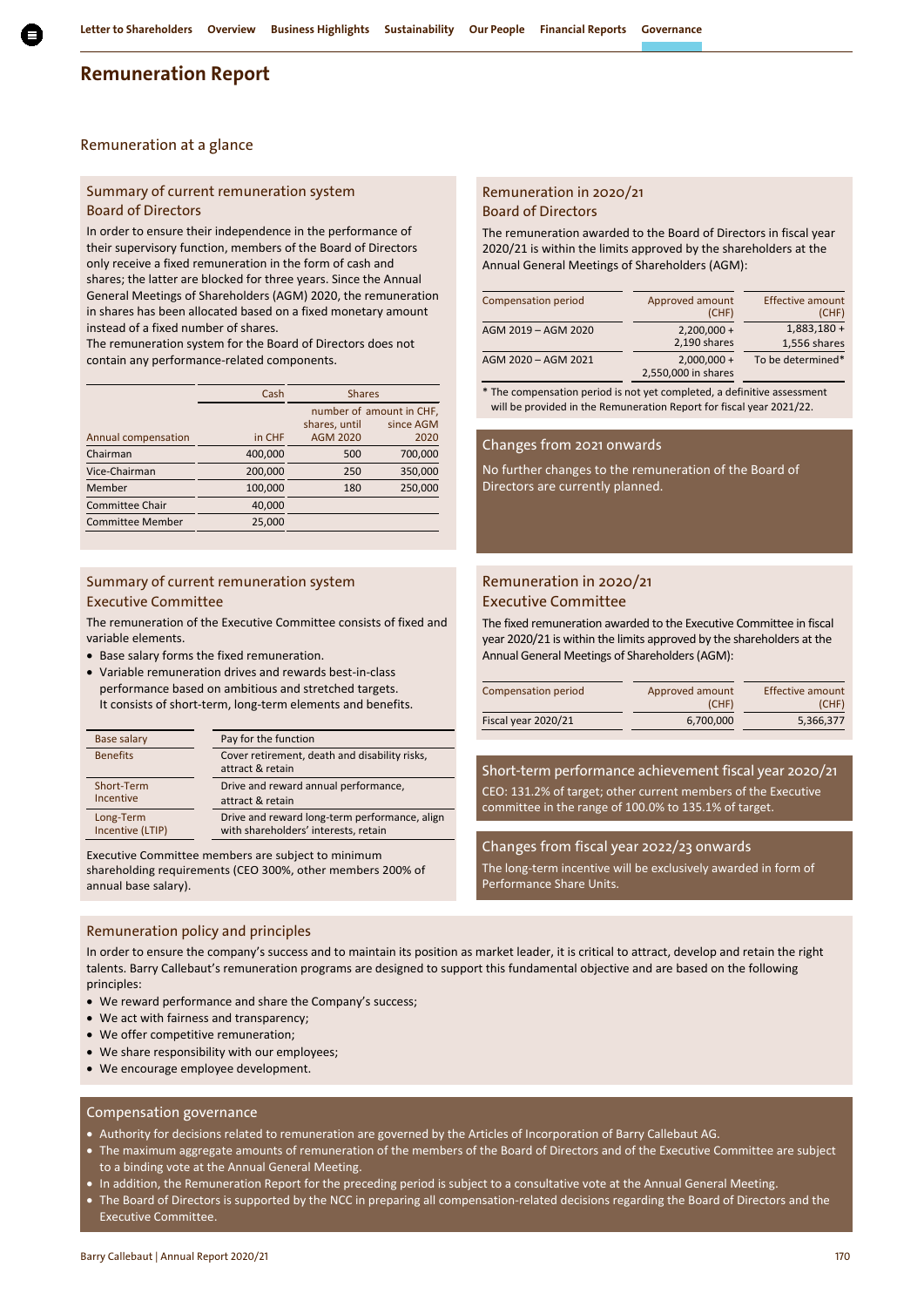#### Remuneration at a glance

#### Summary of current remuneration system Board of Directors

In order to ensure their independence in the performance of their supervisory function, members of the Board of Directors only receive a fixed remuneration in the form of cash and shares; the latter are blocked for three years. Since the Annual General Meetings of Shareholders (AGM) 2020, the remuneration in shares has been allocated based on a fixed monetary amount instead of a fixed number of shares.

The remuneration system for the Board of Directors does not contain any performance-related components.

|                         | Cash    | <b>Shares</b>   |                          |
|-------------------------|---------|-----------------|--------------------------|
|                         |         |                 | number of amount in CHF, |
|                         |         | shares, until   | since AGM                |
| Annual compensation     | in CHF  | <b>AGM 2020</b> | 2020                     |
| Chairman                | 400,000 | 500             | 700,000                  |
| Vice-Chairman           | 200,000 | 250             | 350,000                  |
| Member                  | 100,000 | 180             | 250,000                  |
| <b>Committee Chair</b>  | 40,000  |                 |                          |
| <b>Committee Member</b> | 25,000  |                 |                          |

#### Summary of current remuneration system Executive Committee

The remuneration of the Executive Committee consists of fixed and variable elements.

- Base salary forms the fixed remuneration.
- Variable remuneration drives and rewards best-in-class performance based on ambitious and stretched targets. It consists of short-term, long-term elements and benefits.

| Base salary      | Pay for the function                                              |
|------------------|-------------------------------------------------------------------|
| <b>Benefits</b>  | Cover retirement, death and disability risks,<br>attract & retain |
| Short-Term       | Drive and reward annual performance,                              |
| <b>Incentive</b> | attract & retain                                                  |
| Long-Term        | Drive and reward long-term performance, align                     |
| Incentive (LTIP) | with shareholders' interests, retain                              |

Executive Committee members are subject to minimum shareholding requirements (CEO 300%, other members 200% of annual base salary).

## Remuneration policy and principles

In order to ensure the company's success and to maintain its position as market leader, it is critical to attract, develop and retain the right talents. Barry Callebaut's remuneration programs are designed to support this fundamental objective and are based on the following principles:

- We reward performance and share the Company's success;
- We act with fairness and transparency;
- We offer competitive remuneration;
- We share responsibility with our employees;
- We encourage employee development.

#### Compensation governance

- Authority for decisions related to remuneration are governed by the Articles of Incorporation of Barry Callebaut AG.
- The maximum aggregate amounts of remuneration of the members of the Board of Directors and of the Executive Committee are subject to a binding vote at the Annual General Meeting.
- In addition, the Remuneration Report for the preceding period is subject to a consultative vote at the Annual General Meeting.
- The Board of Directors is supported by the NCC in preparing all compensation-related decisions regarding the Board of Directors and the Executive Committee.

#### Remuneration in 2020/21 Board of Directors

The remuneration awarded to the Board of Directors in fiscal year 2020/21 is within the limits approved by the shareholders at the Annual General Meetings of Shareholders (AGM):

| Compensation period | Approved amount<br>(CHF)             | <b>Effective amount</b><br>(CHF) |
|---------------------|--------------------------------------|----------------------------------|
| AGM 2019 - AGM 2020 | $2,200,000 +$<br>2,190 shares        | $1,883,180+$<br>1,556 shares     |
| AGM 2020 - AGM 2021 | $2,000,000 +$<br>2,550,000 in shares | To be determined*                |

\* The compensation period is not yet completed, a definitive assessment will be provided in the Remuneration Report for fiscal year 2021/22.

#### Changes from 2021 onwards

No further changes to the remuneration of the Board of Directors are currently planned.

#### Remuneration in 2020/21 Executive Committee

The fixed remuneration awarded to the Executive Committee in fiscal year 2020/21 is within the limits approved by the shareholders at the Annual General Meetings of Shareholders (AGM):

| Compensation period | Approved amount<br>(CHF) | Effective amount<br>(CHF) |  |
|---------------------|--------------------------|---------------------------|--|
| Fiscal year 2020/21 | 6.700.000                | 5,366,377                 |  |

Short-term performance achievement fiscal year 2020/21 CEO: 131.2% of target; other current members of the Executive committee in the range of 100.0% to 135.1% of target.

Changes from fiscal year 2022/23 onwards The long-term incentive will be exclusively awarded in form of Performance Share Units.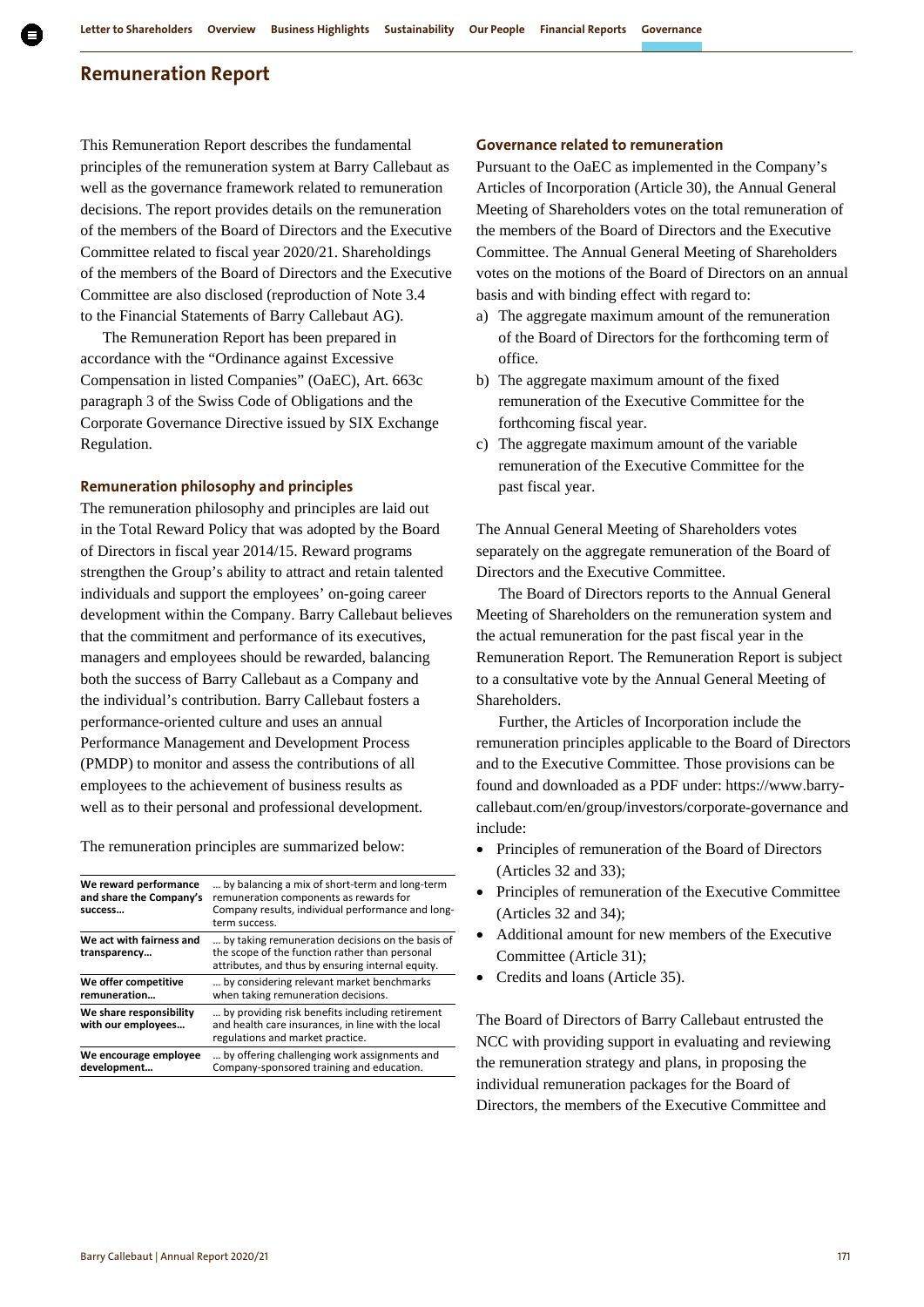This Remuneration Report describes the fundamental principles of the remuneration system at Barry Callebaut as well as the governance framework related to remuneration decisions. The report provides details on the remuneration of the members of the Board of Directors and the Executive Committee related to fiscal year 2020/21. Shareholdings of the members of the Board of Directors and the Executive Committee are also disclosed (reproduction of Note 3.4 to the Financial Statements of Barry Callebaut AG).

The Remuneration Report has been prepared in accordance with the "Ordinance against Excessive Compensation in listed Companies" (OaEC), Art. 663c paragraph 3 of the Swiss Code of Obligations and the Corporate Governance Directive issued by SIX Exchange Regulation.

#### **Remuneration philosophy and principles**

The remuneration philosophy and principles are laid out in the Total Reward Policy that was adopted by the Board of Directors in fiscal year 2014/15. Reward programs strengthen the Group's ability to attract and retain talented individuals and support the employees' on-going career development within the Company. Barry Callebaut believes that the commitment and performance of its executives, managers and employees should be rewarded, balancing both the success of Barry Callebaut as a Company and the individual's contribution. Barry Callebaut fosters a performance-oriented culture and uses an annual Performance Management and Development Process (PMDP) to monitor and assess the contributions of all employees to the achievement of business results as well as to their personal and professional development.

The remuneration principles are summarized below:

| We reward performance<br>and share the Company's<br>success | by balancing a mix of short-term and long-term<br>remuneration components as rewards for<br>Company results, individual performance and long-           |
|-------------------------------------------------------------|---------------------------------------------------------------------------------------------------------------------------------------------------------|
|                                                             | term success.                                                                                                                                           |
| We act with fairness and<br>transparency                    | by taking remuneration decisions on the basis of<br>the scope of the function rather than personal<br>attributes, and thus by ensuring internal equity. |
| We offer competitive<br>remuneration                        | by considering relevant market benchmarks<br>when taking remuneration decisions.                                                                        |
| We share responsibility<br>with our employees               | by providing risk benefits including retirement.<br>and health care insurances, in line with the local<br>regulations and market practice.              |
| We encourage emplovee<br>development                        | by offering challenging work assignments and<br>Company-sponsored training and education.                                                               |
|                                                             |                                                                                                                                                         |

#### **Governance related to remuneration**

Pursuant to the OaEC as implemented in the Company's Articles of Incorporation (Article 30), the Annual General Meeting of Shareholders votes on the total remuneration of the members of the Board of Directors and the Executive Committee. The Annual General Meeting of Shareholders votes on the motions of the Board of Directors on an annual basis and with binding effect with regard to:

- a) The aggregate maximum amount of the remuneration of the Board of Directors for the forthcoming term of office.
- b) The aggregate maximum amount of the fixed remuneration of the Executive Committee for the forthcoming fiscal year.
- c) The aggregate maximum amount of the variable remuneration of the Executive Committee for the past fiscal year.

The Annual General Meeting of Shareholders votes separately on the aggregate remuneration of the Board of Directors and the Executive Committee.

The Board of Directors reports to the Annual General Meeting of Shareholders on the remuneration system and the actual remuneration for the past fiscal year in the Remuneration Report. The Remuneration Report is subject to a consultative vote by the Annual General Meeting of Shareholders.

Further, the Articles of Incorporation include the remuneration principles applicable to the Board of Directors and to the Executive Committee. Those provisions can be found and downloaded as a PDF under: https://www.barrycallebaut.com/en/group/investors/corporate-governance and include:

- Principles of remuneration of the Board of Directors (Articles 32 and 33);
- Principles of remuneration of the Executive Committee (Articles 32 and 34);
- Additional amount for new members of the Executive Committee (Article 31);
- Credits and loans (Article 35).

The Board of Directors of Barry Callebaut entrusted the NCC with providing support in evaluating and reviewing the remuneration strategy and plans, in proposing the individual remuneration packages for the Board of Directors, the members of the Executive Committee and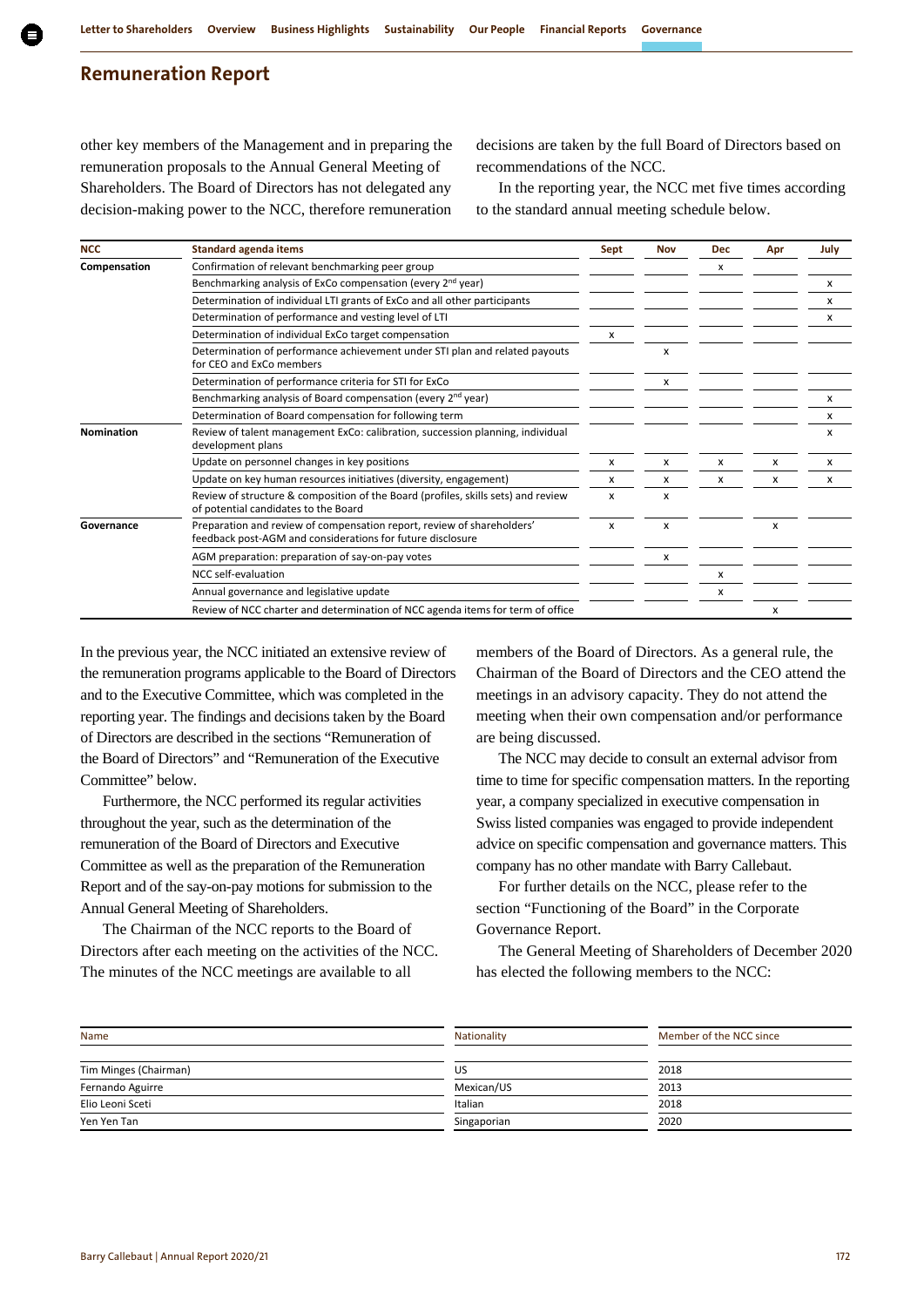other key members of the Management and in preparing the remuneration proposals to the Annual General Meeting of Shareholders. The Board of Directors has not delegated any decision-making power to the NCC, therefore remuneration

decisions are taken by the full Board of Directors based on recommendations of the NCC.

In the reporting year, the NCC met five times according to the standard annual meeting schedule below.

| <b>NCC</b>   | <b>Standard agenda items</b>                                                                                                         | Sept | Nov | <b>Dec</b> | Apr | July |
|--------------|--------------------------------------------------------------------------------------------------------------------------------------|------|-----|------------|-----|------|
| Compensation | Confirmation of relevant benchmarking peer group                                                                                     |      |     | x          |     |      |
|              | Benchmarking analysis of ExCo compensation (every 2 <sup>nd</sup> year)                                                              |      |     |            |     | X    |
|              | Determination of individual LTI grants of ExCo and all other participants                                                            |      |     |            |     | x    |
|              | Determination of performance and vesting level of LTI                                                                                |      |     |            |     | x    |
|              | Determination of individual ExCo target compensation                                                                                 | x    |     |            |     |      |
|              | Determination of performance achievement under STI plan and related payouts<br>for CEO and ExCo members                              |      | x   |            |     |      |
|              | Determination of performance criteria for STI for ExCo                                                                               |      | x   |            |     |      |
|              | Benchmarking analysis of Board compensation (every 2 <sup>nd</sup> year)                                                             |      |     |            |     | x    |
|              | Determination of Board compensation for following term                                                                               |      |     |            |     | x    |
| Nomination   | Review of talent management ExCo: calibration, succession planning, individual<br>development plans                                  |      |     |            |     | x    |
|              | Update on personnel changes in key positions                                                                                         | x    | x   | x          | х   | x    |
|              | Update on key human resources initiatives (diversity, engagement)                                                                    | x    | x   | x          | x   | x    |
|              | Review of structure & composition of the Board (profiles, skills sets) and review<br>of potential candidates to the Board            | X    | X   |            |     |      |
| Governance   | Preparation and review of compensation report, review of shareholders'<br>feedback post-AGM and considerations for future disclosure | x    | x   |            | X   |      |
|              | AGM preparation: preparation of say-on-pay votes                                                                                     |      | x   |            |     |      |
|              | NCC self-evaluation                                                                                                                  |      |     | x          |     |      |
|              | Annual governance and legislative update                                                                                             |      |     | x          |     |      |
|              | Review of NCC charter and determination of NCC agenda items for term of office                                                       |      |     |            | x   |      |

In the previous year, the NCC initiated an extensive review of the remuneration programs applicable to the Board of Directors and to the Executive Committee, which was completed in the reporting year. The findings and decisions taken by the Board of Directors are described in the sections "Remuneration of the Board of Directors" and "Remuneration of the Executive Committee" below.

Furthermore, the NCC performed its regular activities throughout the year, such as the determination of the remuneration of the Board of Directors and Executive Committee as well as the preparation of the Remuneration Report and of the say-on-pay motions for submission to the Annual General Meeting of Shareholders.

The Chairman of the NCC reports to the Board of Directors after each meeting on the activities of the NCC. The minutes of the NCC meetings are available to all

members of the Board of Directors. As a general rule, the Chairman of the Board of Directors and the CEO attend the meetings in an advisory capacity. They do not attend the meeting when their own compensation and/or performance are being discussed.

The NCC may decide to consult an external advisor from time to time for specific compensation matters. In the reporting year, a company specialized in executive compensation in Swiss listed companies was engaged to provide independent advice on specific compensation and governance matters. This company has no other mandate with Barry Callebaut.

For further details on the NCC, please refer to the section "Functioning of the Board" in the Corporate Governance Report.

The General Meeting of Shareholders of December 2020 has elected the following members to the NCC:

| Name                  | Nationality | Member of the NCC since |
|-----------------------|-------------|-------------------------|
| Tim Minges (Chairman) | US          | 2018                    |
| Fernando Aguirre      | Mexican/US  | 2013                    |
| Elio Leoni Sceti      | Italian     | 2018                    |
| Yen Yen Tan           | Singaporian | 2020                    |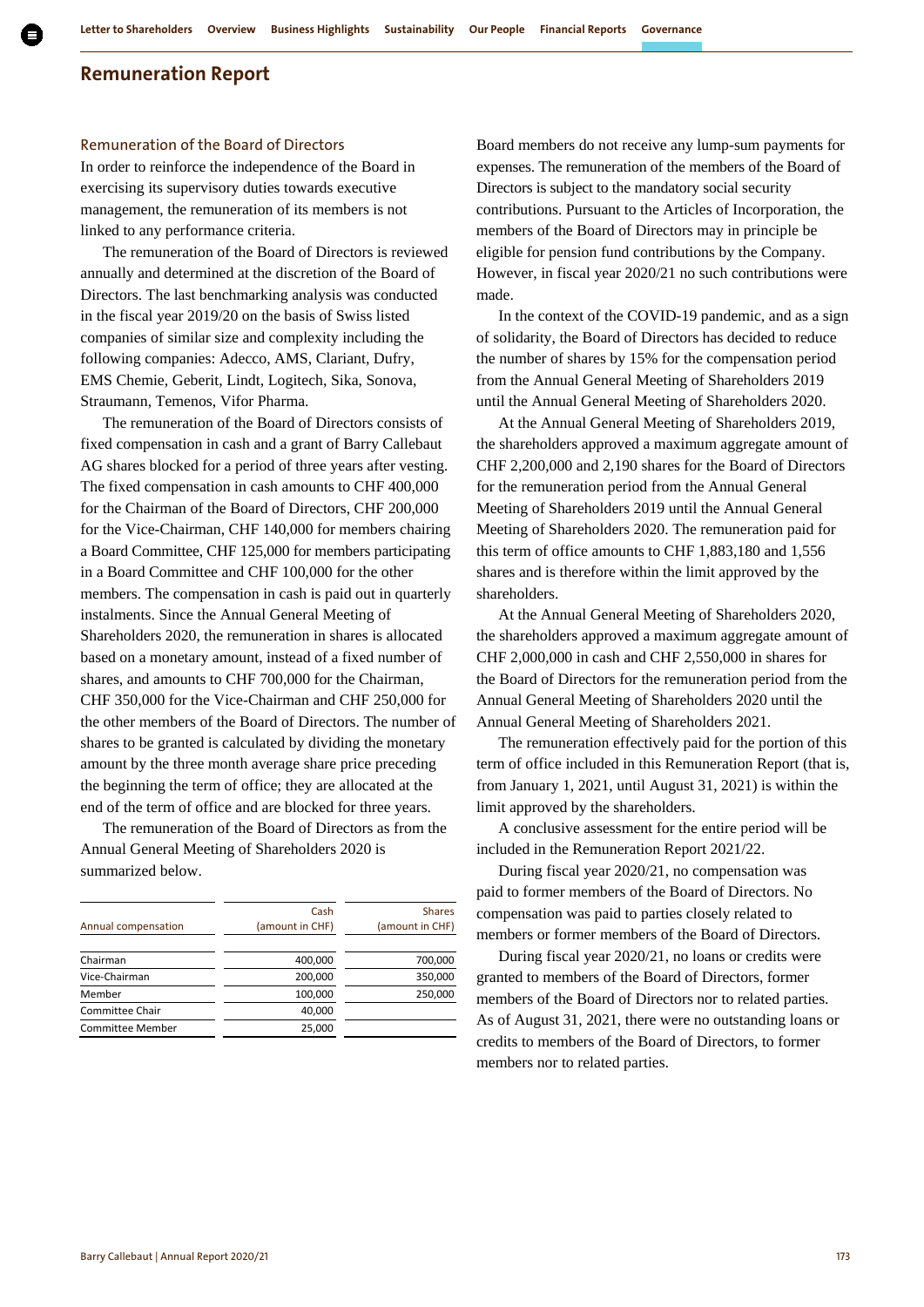#### Remuneration of the Board of Directors

In order to reinforce the independence of the Board in exercising its supervisory duties towards executive management, the remuneration of its members is not linked to any performance criteria.

The remuneration of the Board of Directors is reviewed annually and determined at the discretion of the Board of Directors. The last benchmarking analysis was conducted in the fiscal year 2019/20 on the basis of Swiss listed companies of similar size and complexity including the following companies: Adecco, AMS, Clariant, Dufry, EMS Chemie, Geberit, Lindt, Logitech, Sika, Sonova, Straumann, Temenos, Vifor Pharma.

The remuneration of the Board of Directors consists of fixed compensation in cash and a grant of Barry Callebaut AG shares blocked for a period of three years after vesting. The fixed compensation in cash amounts to CHF 400,000 for the Chairman of the Board of Directors, CHF 200,000 for the Vice-Chairman, CHF 140,000 for members chairing a Board Committee, CHF 125,000 for members participating in a Board Committee and CHF 100,000 for the other members. The compensation in cash is paid out in quarterly instalments. Since the Annual General Meeting of Shareholders 2020, the remuneration in shares is allocated based on a monetary amount, instead of a fixed number of shares, and amounts to CHF 700,000 for the Chairman, CHF 350,000 for the Vice-Chairman and CHF 250,000 for the other members of the Board of Directors. The number of shares to be granted is calculated by dividing the monetary amount by the three month average share price preceding the beginning the term of office; they are allocated at the end of the term of office and are blocked for three years.

The remuneration of the Board of Directors as from the Annual General Meeting of Shareholders 2020 is summarized below.

|                         | Cash            | <b>Shares</b>   |
|-------------------------|-----------------|-----------------|
| Annual compensation     | (amount in CHF) | (amount in CHF) |
|                         |                 |                 |
| Chairman                | 400,000         | 700,000         |
| Vice-Chairman           | 200,000         | 350,000         |
| Member                  | 100,000         | 250,000         |
| <b>Committee Chair</b>  | 40,000          |                 |
| <b>Committee Member</b> | 25,000          |                 |
|                         |                 |                 |

Board members do not receive any lump-sum payments for expenses. The remuneration of the members of the Board of Directors is subject to the mandatory social security contributions. Pursuant to the Articles of Incorporation, the members of the Board of Directors may in principle be eligible for pension fund contributions by the Company. However, in fiscal year 2020/21 no such contributions were made.

In the context of the COVID-19 pandemic, and as a sign of solidarity, the Board of Directors has decided to reduce the number of shares by 15% for the compensation period from the Annual General Meeting of Shareholders 2019 until the Annual General Meeting of Shareholders 2020.

At the Annual General Meeting of Shareholders 2019, the shareholders approved a maximum aggregate amount of CHF 2,200,000 and 2,190 shares for the Board of Directors for the remuneration period from the Annual General Meeting of Shareholders 2019 until the Annual General Meeting of Shareholders 2020. The remuneration paid for this term of office amounts to CHF 1,883,180 and 1,556 shares and is therefore within the limit approved by the shareholders.

At the Annual General Meeting of Shareholders 2020, the shareholders approved a maximum aggregate amount of CHF 2,000,000 in cash and CHF 2,550,000 in shares for the Board of Directors for the remuneration period from the Annual General Meeting of Shareholders 2020 until the Annual General Meeting of Shareholders 2021.

The remuneration effectively paid for the portion of this term of office included in this Remuneration Report (that is, from January 1, 2021, until August 31, 2021) is within the limit approved by the shareholders.

A conclusive assessment for the entire period will be included in the Remuneration Report 2021/22.

During fiscal year 2020/21, no compensation was paid to former members of the Board of Directors. No compensation was paid to parties closely related to members or former members of the Board of Directors.

During fiscal year 2020/21, no loans or credits were granted to members of the Board of Directors, former members of the Board of Directors nor to related parties. As of August 31, 2021, there were no outstanding loans or credits to members of the Board of Directors, to former members nor to related parties.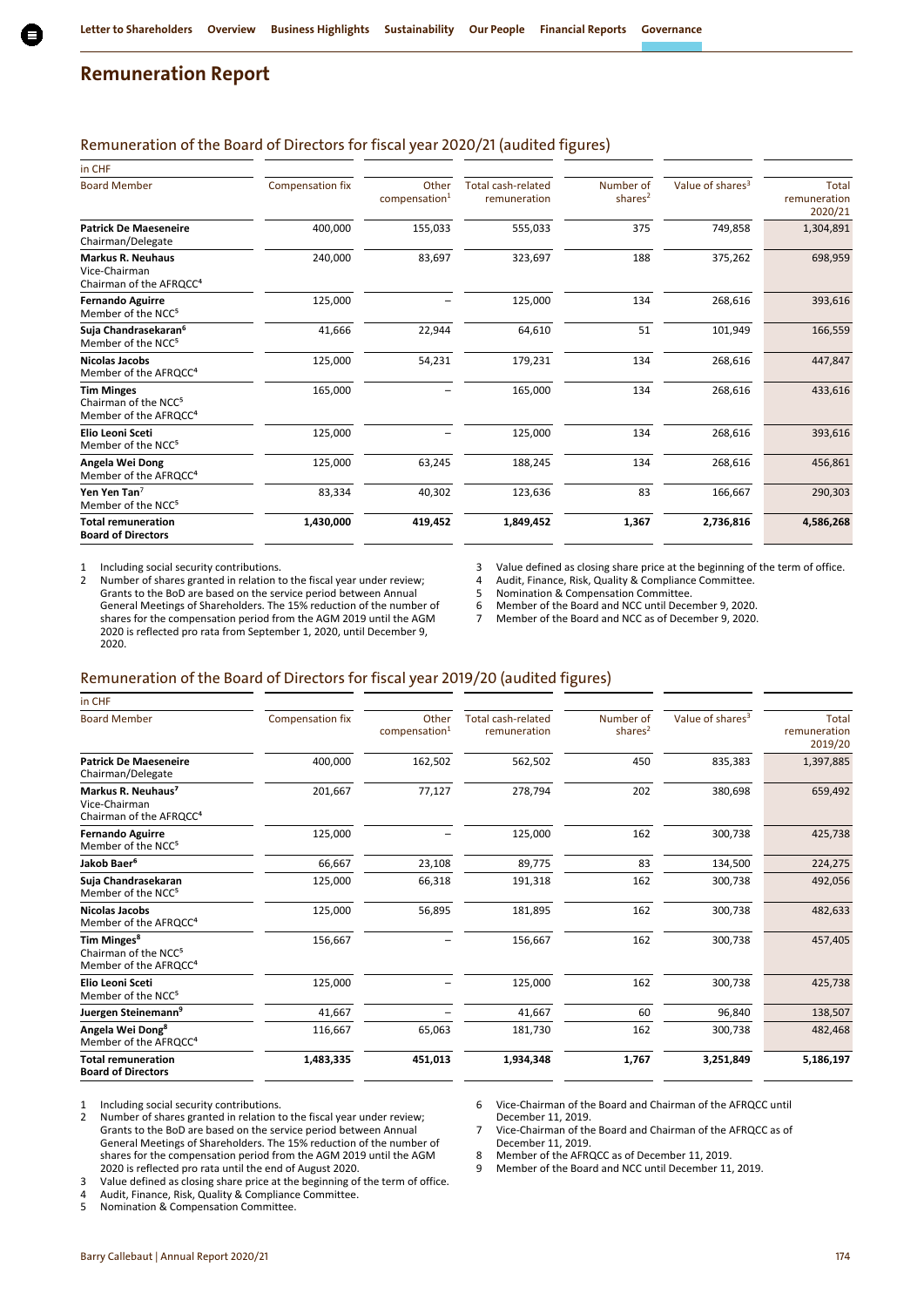## Remuneration of the Board of Directors for fiscal year 2020/21 (audited figures)

| in CHF                                                                                     |                  |                                    |                                           |                         |                              |                                  |
|--------------------------------------------------------------------------------------------|------------------|------------------------------------|-------------------------------------------|-------------------------|------------------------------|----------------------------------|
| <b>Board Member</b>                                                                        | Compensation fix | Other<br>compensation <sup>1</sup> | <b>Total cash-related</b><br>remuneration | Number of<br>shares $2$ | Value of shares <sup>3</sup> | Total<br>remuneration<br>2020/21 |
| <b>Patrick De Maeseneire</b><br>Chairman/Delegate                                          | 400,000          | 155,033                            | 555,033                                   | 375                     | 749,858                      | 1,304,891                        |
| <b>Markus R. Neuhaus</b><br>Vice-Chairman<br>Chairman of the AFRQCC <sup>4</sup>           | 240,000          | 83,697                             | 323,697                                   | 188                     | 375,262                      | 698,959                          |
| <b>Fernando Aguirre</b><br>Member of the NCC <sup>5</sup>                                  | 125,000          |                                    | 125,000                                   | 134                     | 268,616                      | 393,616                          |
| Suja Chandrasekaran <sup>6</sup><br>Member of the NCC <sup>5</sup>                         | 41,666           | 22,944                             | 64,610                                    | 51                      | 101,949                      | 166,559                          |
| Nicolas Jacobs<br>Member of the AFRQCC <sup>4</sup>                                        | 125,000          | 54,231                             | 179,231                                   | 134                     | 268,616                      | 447,847                          |
| <b>Tim Minges</b><br>Chairman of the NCC <sup>5</sup><br>Member of the AFRQCC <sup>4</sup> | 165,000          |                                    | 165,000                                   | 134                     | 268,616                      | 433,616                          |
| Elio Leoni Sceti<br>Member of the NCC <sup>5</sup>                                         | 125,000          |                                    | 125,000                                   | 134                     | 268,616                      | 393,616                          |
| Angela Wei Dong<br>Member of the AFRQCC <sup>4</sup>                                       | 125,000          | 63,245                             | 188,245                                   | 134                     | 268,616                      | 456,861                          |
| Yen Yen Tan <sup>7</sup><br>Member of the NCC <sup>5</sup>                                 | 83,334           | 40,302                             | 123,636                                   | 83                      | 166,667                      | 290,303                          |
| <b>Total remuneration</b><br><b>Board of Directors</b>                                     | 1,430,000        | 419,452                            | 1,849,452                                 | 1,367                   | 2,736,816                    | 4,586,268                        |

1 Including social security contributions.<br>2 Number of shares granted in relation to

Number of shares granted in relation to the fiscal year under review; Grants to the BoD are based on the service period between Annual General Meetings of Shareholders. The 15% reduction of the number of shares for the compensation period from the AGM 2019 until the AGM 2020 is reflected pro rata from September 1, 2020, until December 9, 2020.

3 Value defined as closing share price at the beginning of the term of office.<br>4 Audit. Finance. Risk. Quality & Compliance Committee.

4 Audit, Finance, Risk, Quality & Compliance Committee.<br>5 Nomination & Compensation Committee.

5 Nomination & Compensation Committee.<br>6 Member of the Board and NCC until Dece

6 Member of the Board and NCC until December 9, 2020.

Member of the Board and NCC as of December 9, 2020.

#### Remuneration of the Board of Directors for fiscal year 2019/20 (audited figures)

| in CHF                                                                                           |                  |                                    |                                           |                                  |                              |                                  |
|--------------------------------------------------------------------------------------------------|------------------|------------------------------------|-------------------------------------------|----------------------------------|------------------------------|----------------------------------|
| <b>Board Member</b>                                                                              | Compensation fix | Other<br>compensation <sup>1</sup> | <b>Total cash-related</b><br>remuneration | Number of<br>shares <sup>2</sup> | Value of shares <sup>3</sup> | Total<br>remuneration<br>2019/20 |
| <b>Patrick De Maeseneire</b><br>Chairman/Delegate                                                | 400,000          | 162,502                            | 562,502                                   | 450                              | 835,383                      | 1,397,885                        |
| Markus R. Neuhaus <sup>7</sup><br>Vice-Chairman<br>Chairman of the AFRQCC <sup>4</sup>           | 201,667          | 77,127                             | 278,794                                   | 202                              | 380,698                      | 659,492                          |
| <b>Fernando Aguirre</b><br>Member of the NCC <sup>5</sup>                                        | 125,000          |                                    | 125,000                                   | 162                              | 300,738                      | 425,738                          |
| Jakob Baer <sup>6</sup>                                                                          | 66,667           | 23,108                             | 89,775                                    | 83                               | 134,500                      | 224,275                          |
| Suja Chandrasekaran<br>Member of the NCC <sup>5</sup>                                            | 125,000          | 66,318                             | 191,318                                   | 162                              | 300,738                      | 492,056                          |
| <b>Nicolas Jacobs</b><br>Member of the AFRQCC <sup>4</sup>                                       | 125,000          | 56,895                             | 181,895                                   | 162                              | 300,738                      | 482,633                          |
| Tim Minges <sup>8</sup><br>Chairman of the NCC <sup>5</sup><br>Member of the AFRQCC <sup>4</sup> | 156,667          |                                    | 156,667                                   | 162                              | 300,738                      | 457,405                          |
| <b>Elio Leoni Sceti</b><br>Member of the NCC <sup>5</sup>                                        | 125,000          |                                    | 125,000                                   | 162                              | 300,738                      | 425,738                          |
| Juergen Steinemann <sup>9</sup>                                                                  | 41,667           |                                    | 41,667                                    | 60                               | 96,840                       | 138,507                          |
| Angela Wei Dong <sup>8</sup><br>Member of the AFRQCC <sup>4</sup>                                | 116,667          | 65,063                             | 181,730                                   | 162                              | 300,738                      | 482,468                          |
| <b>Total remuneration</b><br><b>Board of Directors</b>                                           | 1,483,335        | 451,013                            | 1,934,348                                 | 1,767                            | 3,251,849                    | 5,186,197                        |
|                                                                                                  |                  |                                    |                                           |                                  |                              |                                  |

1 Including social security contributions.<br>2 Number of shares granted in relation to

Number of shares granted in relation to the fiscal year under review; Grants to the BoD are based on the service period between Annual General Meetings of Shareholders. The 15% reduction of the number of shares for the compensation period from the AGM 2019 until the AGM 2020 is reflected pro rata until the end of August 2020.

3 Value defined as closing share price at the beginning of the term of office.<br>4 Audit Finance Risk Quality & Compliance Committee.

4 Audit, Finance, Risk, Quality & Compliance Committee.<br>5 Nomination & Compensation Committee.

Nomination & Compensation Committee.

6 Vice-Chairman of the Board and Chairman of the AFRQCC until December 11, 2019.

7 Vice-Chairman of the Board and Chairman of the AFRQCC as of December 11, 2019.

8 Member of the AFRQCC as of December 11, 2019.<br>9 Member of the Board and NCC until December 11

9 Member of the Board and NCC until December 11, 2019.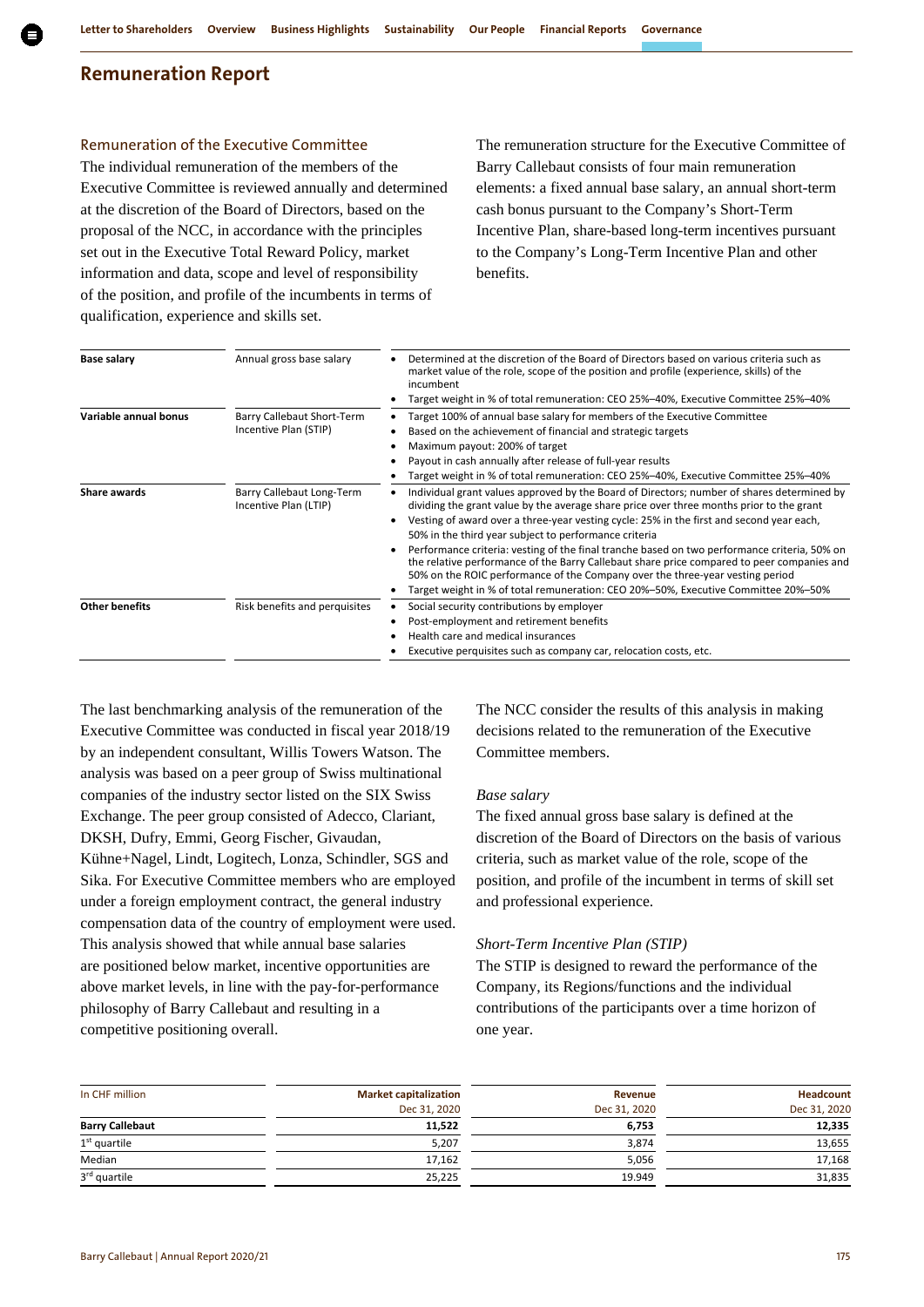## Remuneration of the Executive Committee

The individual remuneration of the members of the Executive Committee is reviewed annually and determined at the discretion of the Board of Directors, based on the proposal of the NCC, in accordance with the principles set out in the Executive Total Reward Policy, market information and data, scope and level of responsibility of the position, and profile of the incumbents in terms of qualification, experience and skills set.

The remuneration structure for the Executive Committee of Barry Callebaut consists of four main remuneration elements: a fixed annual base salary, an annual short-term cash bonus pursuant to the Company's Short-Term Incentive Plan, share-based long-term incentives pursuant to the Company's Long-Term Incentive Plan and other benefits.

| <b>Base salary</b>    | Annual gross base salary                           | Determined at the discretion of the Board of Directors based on various criteria such as<br>market value of the role, scope of the position and profile (experience, skills) of the<br>incumbent                                                                                                                                                                  |
|-----------------------|----------------------------------------------------|-------------------------------------------------------------------------------------------------------------------------------------------------------------------------------------------------------------------------------------------------------------------------------------------------------------------------------------------------------------------|
|                       |                                                    | Target weight in % of total remuneration: CEO 25%-40%, Executive Committee 25%-40%                                                                                                                                                                                                                                                                                |
| Variable annual bonus | Barry Callebaut Short-Term                         | Target 100% of annual base salary for members of the Executive Committee                                                                                                                                                                                                                                                                                          |
|                       | Incentive Plan (STIP)                              | Based on the achievement of financial and strategic targets                                                                                                                                                                                                                                                                                                       |
|                       |                                                    | Maximum payout: 200% of target                                                                                                                                                                                                                                                                                                                                    |
|                       |                                                    | Payout in cash annually after release of full-year results                                                                                                                                                                                                                                                                                                        |
|                       |                                                    | Target weight in % of total remuneration: CEO 25%-40%, Executive Committee 25%-40%                                                                                                                                                                                                                                                                                |
| Share awards          | Barry Callebaut Long-Term<br>Incentive Plan (LTIP) | Individual grant values approved by the Board of Directors; number of shares determined by<br>dividing the grant value by the average share price over three months prior to the grant<br>Vesting of award over a three-year vesting cycle: 25% in the first and second year each,                                                                                |
|                       |                                                    | 50% in the third year subject to performance criteria                                                                                                                                                                                                                                                                                                             |
|                       |                                                    | Performance criteria: vesting of the final tranche based on two performance criteria, 50% on<br>the relative performance of the Barry Callebaut share price compared to peer companies and<br>50% on the ROIC performance of the Company over the three-year vesting period<br>Target weight in % of total remuneration: CEO 20%-50%, Executive Committee 20%-50% |
| <b>Other benefits</b> | Risk benefits and perquisites                      | Social security contributions by employer                                                                                                                                                                                                                                                                                                                         |
|                       |                                                    | Post-employment and retirement benefits                                                                                                                                                                                                                                                                                                                           |
|                       |                                                    | Health care and medical insurances                                                                                                                                                                                                                                                                                                                                |
|                       |                                                    | Executive perquisites such as company car, relocation costs, etc.                                                                                                                                                                                                                                                                                                 |

The last benchmarking analysis of the remuneration of the Executive Committee was conducted in fiscal year 2018/19 by an independent consultant, Willis Towers Watson. The analysis was based on a peer group of Swiss multinational companies of the industry sector listed on the SIX Swiss Exchange. The peer group consisted of Adecco, Clariant, DKSH, Dufry, Emmi, Georg Fischer, Givaudan, Kühne+Nagel, Lindt, Logitech, Lonza, Schindler, SGS and Sika. For Executive Committee members who are employed under a foreign employment contract, the general industry compensation data of the country of employment were used. This analysis showed that while annual base salaries are positioned below market, incentive opportunities are above market levels, in line with the pay-for-performance philosophy of Barry Callebaut and resulting in a competitive positioning overall.

The NCC consider the results of this analysis in making decisions related to the remuneration of the Executive Committee members.

## *Base salary*

The fixed annual gross base salary is defined at the discretion of the Board of Directors on the basis of various criteria, such as market value of the role, scope of the position, and profile of the incumbent in terms of skill set and professional experience.

#### *Short-Term Incentive Plan (STIP)*

The STIP is designed to reward the performance of the Company, its Regions/functions and the individual contributions of the participants over a time horizon of one year.

| In CHF million         | <b>Market capitalization</b> | Revenue      | Headcount    |
|------------------------|------------------------------|--------------|--------------|
|                        | Dec 31, 2020                 | Dec 31, 2020 | Dec 31, 2020 |
| <b>Barry Callebaut</b> | 11,522                       | 6,753        | 12,335       |
| $1st$ quartile         | 5,207                        | 3,874        | 13,655       |
| Median                 | 17,162                       | 5,056        | 17,168       |
| 3rd quartile           | 25,225                       | 19.949       | 31,835       |
|                        |                              |              |              |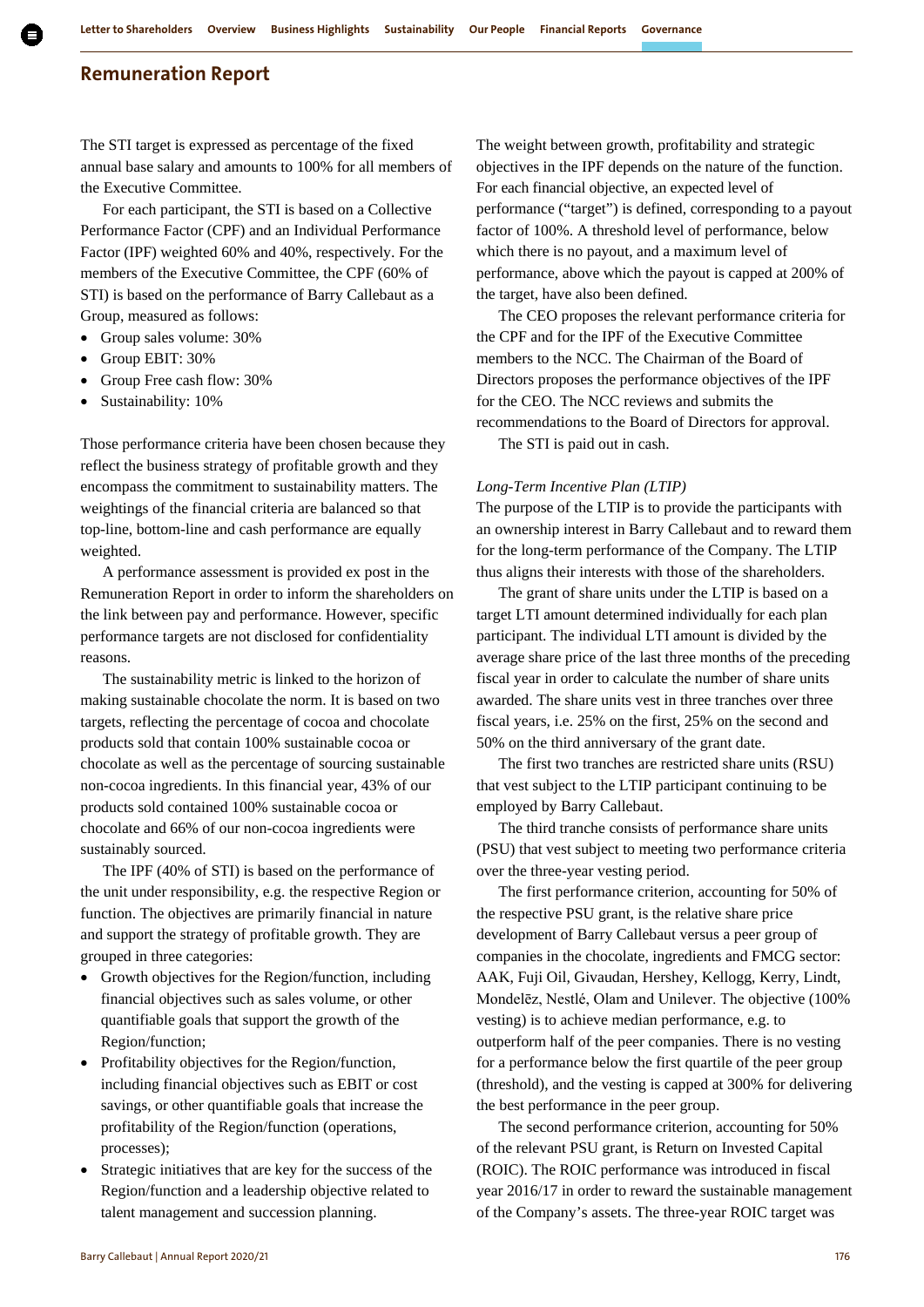The STI target is expressed as percentage of the fixed annual base salary and amounts to 100% for all members of the Executive Committee.

For each participant, the STI is based on a Collective Performance Factor (CPF) and an Individual Performance Factor (IPF) weighted 60% and 40%, respectively. For the members of the Executive Committee, the CPF (60% of STI) is based on the performance of Barry Callebaut as a Group, measured as follows:

- Group sales volume: 30%
- Group EBIT: 30%
- Group Free cash flow: 30%
- Sustainability: 10%

Those performance criteria have been chosen because they reflect the business strategy of profitable growth and they encompass the commitment to sustainability matters. The weightings of the financial criteria are balanced so that top-line, bottom-line and cash performance are equally weighted.

A performance assessment is provided ex post in the Remuneration Report in order to inform the shareholders on the link between pay and performance. However, specific performance targets are not disclosed for confidentiality reasons.

The sustainability metric is linked to the horizon of making sustainable chocolate the norm. It is based on two targets, reflecting the percentage of cocoa and chocolate products sold that contain 100% sustainable cocoa or chocolate as well as the percentage of sourcing sustainable non-cocoa ingredients. In this financial year, 43% of our products sold contained 100% sustainable cocoa or chocolate and 66% of our non-cocoa ingredients were sustainably sourced.

The IPF (40% of STI) is based on the performance of the unit under responsibility, e.g. the respective Region or function. The objectives are primarily financial in nature and support the strategy of profitable growth. They are grouped in three categories:

- Growth objectives for the Region/function, including financial objectives such as sales volume, or other quantifiable goals that support the growth of the Region/function;
- Profitability objectives for the Region/function, including financial objectives such as EBIT or cost savings, or other quantifiable goals that increase the profitability of the Region/function (operations, processes);
- Strategic initiatives that are key for the success of the Region/function and a leadership objective related to talent management and succession planning.

The weight between growth, profitability and strategic objectives in the IPF depends on the nature of the function. For each financial objective, an expected level of performance ("target") is defined, corresponding to a payout factor of 100%. A threshold level of performance, below which there is no payout, and a maximum level of performance, above which the payout is capped at 200% of the target, have also been defined.

The CEO proposes the relevant performance criteria for the CPF and for the IPF of the Executive Committee members to the NCC. The Chairman of the Board of Directors proposes the performance objectives of the IPF for the CEO. The NCC reviews and submits the recommendations to the Board of Directors for approval.

The STI is paid out in cash.

#### *Long-Term Incentive Plan (LTIP)*

The purpose of the LTIP is to provide the participants with an ownership interest in Barry Callebaut and to reward them for the long-term performance of the Company. The LTIP thus aligns their interests with those of the shareholders.

The grant of share units under the LTIP is based on a target LTI amount determined individually for each plan participant. The individual LTI amount is divided by the average share price of the last three months of the preceding fiscal year in order to calculate the number of share units awarded. The share units vest in three tranches over three fiscal years, i.e. 25% on the first, 25% on the second and 50% on the third anniversary of the grant date.

The first two tranches are restricted share units (RSU) that vest subject to the LTIP participant continuing to be employed by Barry Callebaut.

The third tranche consists of performance share units (PSU) that vest subject to meeting two performance criteria over the three-year vesting period.

The first performance criterion, accounting for 50% of the respective PSU grant, is the relative share price development of Barry Callebaut versus a peer group of companies in the chocolate, ingredients and FMCG sector: AAK, Fuji Oil, Givaudan, Hershey, Kellogg, Kerry, Lindt, Mondelēz, Nestlé, Olam and Unilever. The objective (100% vesting) is to achieve median performance, e.g. to outperform half of the peer companies. There is no vesting for a performance below the first quartile of the peer group (threshold), and the vesting is capped at 300% for delivering the best performance in the peer group.

The second performance criterion, accounting for 50% of the relevant PSU grant, is Return on Invested Capital (ROIC). The ROIC performance was introduced in fiscal year 2016/17 in order to reward the sustainable management of the Company's assets. The three-year ROIC target was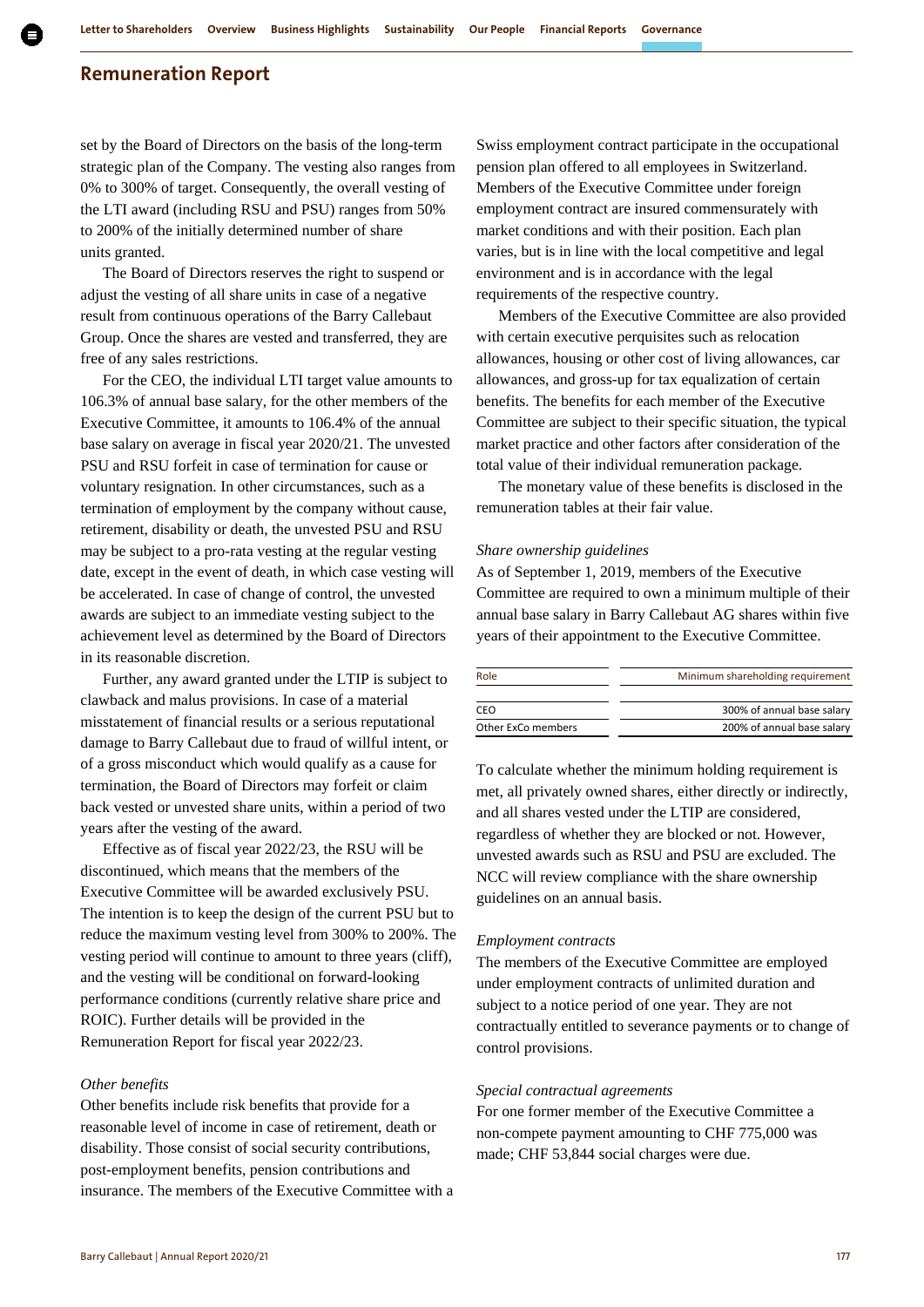set by the Board of Directors on the basis of the long-term strategic plan of the Company. The vesting also ranges from 0% to 300% of target. Consequently, the overall vesting of the LTI award (including RSU and PSU) ranges from 50% to 200% of the initially determined number of share units granted.

The Board of Directors reserves the right to suspend or adjust the vesting of all share units in case of a negative result from continuous operations of the Barry Callebaut Group. Once the shares are vested and transferred, they are free of any sales restrictions.

For the CEO, the individual LTI target value amounts to 106.3% of annual base salary, for the other members of the Executive Committee, it amounts to 106.4% of the annual base salary on average in fiscal year 2020/21. The unvested PSU and RSU forfeit in case of termination for cause or voluntary resignation. In other circumstances, such as a termination of employment by the company without cause, retirement, disability or death, the unvested PSU and RSU may be subject to a pro-rata vesting at the regular vesting date, except in the event of death, in which case vesting will be accelerated. In case of change of control, the unvested awards are subject to an immediate vesting subject to the achievement level as determined by the Board of Directors in its reasonable discretion.

Further, any award granted under the LTIP is subject to clawback and malus provisions. In case of a material misstatement of financial results or a serious reputational damage to Barry Callebaut due to fraud of willful intent, or of a gross misconduct which would qualify as a cause for termination, the Board of Directors may forfeit or claim back vested or unvested share units, within a period of two years after the vesting of the award.

Effective as of fiscal year 2022/23, the RSU will be discontinued, which means that the members of the Executive Committee will be awarded exclusively PSU. The intention is to keep the design of the current PSU but to reduce the maximum vesting level from 300% to 200%. The vesting period will continue to amount to three years (cliff), and the vesting will be conditional on forward-looking performance conditions (currently relative share price and ROIC). Further details will be provided in the Remuneration Report for fiscal year 2022/23.

#### *Other benefits*

Other benefits include risk benefits that provide for a reasonable level of income in case of retirement, death or disability. Those consist of social security contributions, post-employment benefits, pension contributions and insurance. The members of the Executive Committee with a Swiss employment contract participate in the occupational pension plan offered to all employees in Switzerland. Members of the Executive Committee under foreign employment contract are insured commensurately with market conditions and with their position. Each plan varies, but is in line with the local competitive and legal environment and is in accordance with the legal requirements of the respective country.

Members of the Executive Committee are also provided with certain executive perquisites such as relocation allowances, housing or other cost of living allowances, car allowances, and gross-up for tax equalization of certain benefits. The benefits for each member of the Executive Committee are subject to their specific situation, the typical market practice and other factors after consideration of the total value of their individual remuneration package.

The monetary value of these benefits is disclosed in the remuneration tables at their fair value.

#### *Share ownership guidelines*

As of September 1, 2019, members of the Executive Committee are required to own a minimum multiple of their annual base salary in Barry Callebaut AG shares within five years of their appointment to the Executive Committee.

| Role               | Minimum shareholding requirement |
|--------------------|----------------------------------|
|                    |                                  |
| CEO                | 300% of annual base salary       |
| Other ExCo members | 200% of annual base salary       |
|                    |                                  |

To calculate whether the minimum holding requirement is met, all privately owned shares, either directly or indirectly, and all shares vested under the LTIP are considered, regardless of whether they are blocked or not. However, unvested awards such as RSU and PSU are excluded. The NCC will review compliance with the share ownership guidelines on an annual basis.

#### *Employment contracts*

The members of the Executive Committee are employed under employment contracts of unlimited duration and subject to a notice period of one year. They are not contractually entitled to severance payments or to change of control provisions.

#### *Special contractual agreements*

For one former member of the Executive Committee a non-compete payment amounting to CHF 775,000 was made; CHF 53,844 social charges were due.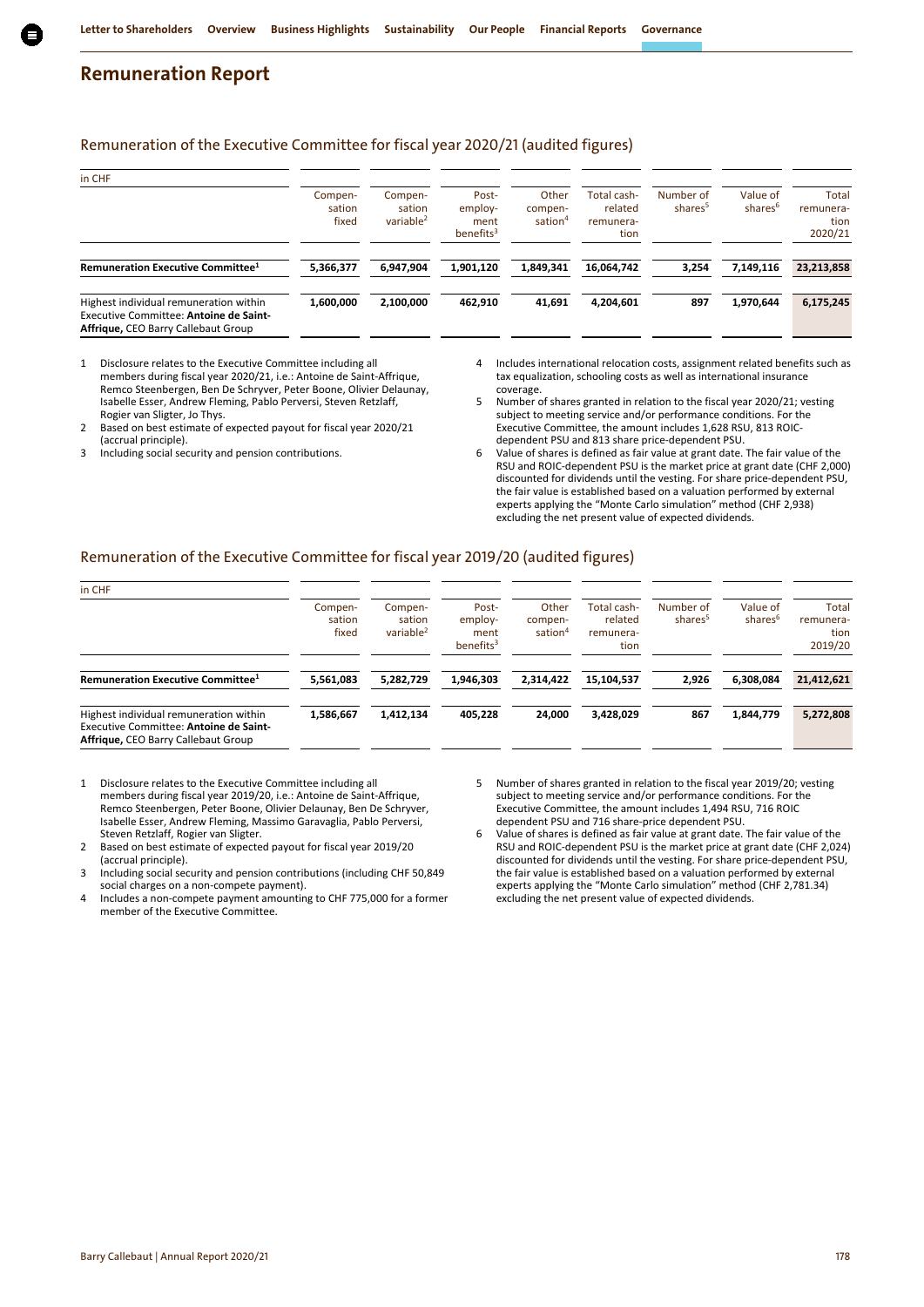## Remuneration of the Executive Committee for fiscal year 2020/21 (audited figures)

| in CHF                                                                                                                  |                            |                                            |                                                   |                                         |                                             |                                  |                                 |                                       |
|-------------------------------------------------------------------------------------------------------------------------|----------------------------|--------------------------------------------|---------------------------------------------------|-----------------------------------------|---------------------------------------------|----------------------------------|---------------------------------|---------------------------------------|
|                                                                                                                         | Compen-<br>sation<br>fixed | Compen-<br>sation<br>variable <sup>2</sup> | Post-<br>employ-<br>ment<br>benefits <sup>3</sup> | Other<br>compen-<br>sation <sup>4</sup> | Total cash-<br>related<br>remunera-<br>tion | Number of<br>shares <sup>5</sup> | Value of<br>shares <sup>6</sup> | Total<br>remunera-<br>tion<br>2020/21 |
| Remuneration Executive Committee <sup>1</sup>                                                                           | 5,366,377                  | 6.947.904                                  | 1,901,120                                         | 1,849,341                               | 16,064,742                                  | 3,254                            | 7,149,116                       | 23,213,858                            |
| Highest individual remuneration within<br>Executive Committee: Antoine de Saint-<br>Affrique, CEO Barry Callebaut Group | 1,600,000                  | 2,100,000                                  | 462,910                                           | 41,691                                  | 4,204,601                                   | 897                              | 1,970,644                       | 6,175,245                             |

- 1 Disclosure relates to the Executive Committee including all members during fiscal year 2020/21, i.e.: Antoine de Saint-Affrique, Remco Steenbergen, Ben De Schryver, Peter Boone, Olivier Delaunay, Isabelle Esser, Andrew Fleming, Pablo Perversi, Steven Retzlaff, Rogier van Sligter, Jo Thys.
- 2 Based on best estimate of expected payout for fiscal year 2020/21 (accrual principle).
- 3 Including social security and pension contributions.
- 4 Includes international relocation costs, assignment related benefits such as tax equalization, schooling costs as well as international insurance coverage.
- 5 Number of shares granted in relation to the fiscal year 2020/21; vesting subject to meeting service and/or performance conditions. For the Executive Committee, the amount includes 1,628 RSU, 813 ROICdependent PSU and 813 share price-dependent PSU.
- 6 Value of shares is defined as fair value at grant date. The fair value of the RSU and ROIC-dependent PSU is the market price at grant date (CHF 2,000) discounted for dividends until the vesting. For share price-dependent PSU, the fair value is established based on a valuation performed by external experts applying the "Monte Carlo simulation" method (CHF 2,938) excluding the net present value of expected dividends.

## Remuneration of the Executive Committee for fiscal year 2019/20 (audited figures)

| in CHF                                                                                                                  |                            |                                            |                                          |                                         |                                             |                                  |                                 |                                       |
|-------------------------------------------------------------------------------------------------------------------------|----------------------------|--------------------------------------------|------------------------------------------|-----------------------------------------|---------------------------------------------|----------------------------------|---------------------------------|---------------------------------------|
|                                                                                                                         | Compen-<br>sation<br>fixed | Compen-<br>sation<br>variable <sup>2</sup> | Post-<br>employ-<br>ment<br>benefits $3$ | Other<br>compen-<br>sation <sup>4</sup> | Total cash-<br>related<br>remunera-<br>tion | Number of<br>shares <sup>5</sup> | Value of<br>shares <sup>6</sup> | Total<br>remunera-<br>tion<br>2019/20 |
| Remuneration Executive Committee <sup>1</sup>                                                                           | 5,561,083                  | 5,282,729                                  | 1.946.303                                | 2,314,422                               | 15,104,537                                  | 2.926                            | 6,308,084                       | 21,412,621                            |
| Highest individual remuneration within<br>Executive Committee: Antoine de Saint-<br>Affrique, CEO Barry Callebaut Group | 1,586,667                  | 1,412,134                                  | 405.228                                  | 24.000                                  | 3,428,029                                   | 867                              | 1,844,779                       | 5,272,808                             |

- 1 Disclosure relates to the Executive Committee including all members during fiscal year 2019/20, i.e.: Antoine de Saint-Affrique, Remco Steenbergen, Peter Boone, Olivier Delaunay, Ben De Schryver, Isabelle Esser, Andrew Fleming, Massimo Garavaglia, Pablo Perversi, Steven Retzlaff, Rogier van Sligter.
- 2 Based on best estimate of expected payout for fiscal year 2019/20 (accrual principle).
- 3 Including social security and pension contributions (including CHF 50,849 social charges on a non-compete payment).
- 4 Includes a non-compete payment amounting to CHF 775,000 for a former member of the Executive Committee.
- 5 Number of shares granted in relation to the fiscal year 2019/20; vesting subject to meeting service and/or performance conditions. For the Executive Committee, the amount includes 1,494 RSU, 716 ROIC dependent PSU and 716 share-price dependent PSU.
- 6 Value of shares is defined as fair value at grant date. The fair value of the RSU and ROIC-dependent PSU is the market price at grant date (CHF 2,024) discounted for dividends until the vesting. For share price-dependent PSU, the fair value is established based on a valuation performed by external experts applying the "Monte Carlo simulation" method (CHF 2,781.34) excluding the net present value of expected dividends.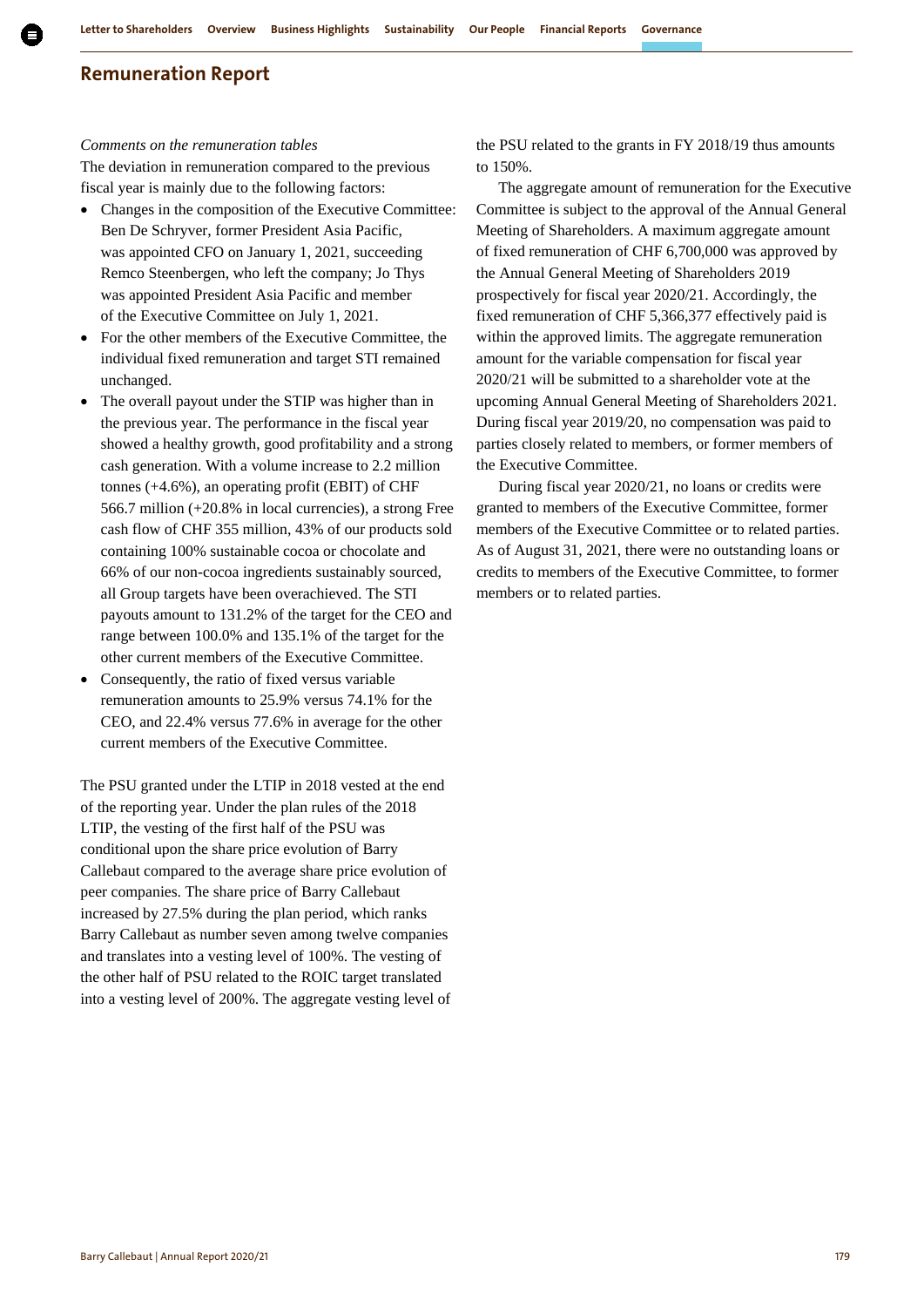#### *Comments on the remuneration tables*

The deviation in remuneration compared to the previous fiscal year is mainly due to the following factors:

- Changes in the composition of the Executive Committee: Ben De Schryver, former President Asia Pacific, was appointed CFO on January 1, 2021, succeeding Remco Steenbergen, who left the company; Jo Thys was appointed President Asia Pacific and member of the Executive Committee on July 1, 2021.
- For the other members of the Executive Committee, the individual fixed remuneration and target STI remained unchanged.
- The overall payout under the STIP was higher than in the previous year. The performance in the fiscal year showed a healthy growth, good profitability and a strong cash generation. With a volume increase to 2.2 million tonnes (+4.6%), an operating profit (EBIT) of CHF 566.7 million (+20.8% in local currencies), a strong Free cash flow of CHF 355 million, 43% of our products sold containing 100% sustainable cocoa or chocolate and 66% of our non-cocoa ingredients sustainably sourced, all Group targets have been overachieved. The STI payouts amount to 131.2% of the target for the CEO and range between 100.0% and 135.1% of the target for the other current members of the Executive Committee.
- Consequently, the ratio of fixed versus variable remuneration amounts to 25.9% versus 74.1% for the CEO, and 22.4% versus 77.6% in average for the other current members of the Executive Committee.

The PSU granted under the LTIP in 2018 vested at the end of the reporting year. Under the plan rules of the 2018 LTIP, the vesting of the first half of the PSU was conditional upon the share price evolution of Barry Callebaut compared to the average share price evolution of peer companies. The share price of Barry Callebaut increased by 27.5% during the plan period, which ranks Barry Callebaut as number seven among twelve companies and translates into a vesting level of 100%. The vesting of the other half of PSU related to the ROIC target translated into a vesting level of 200%. The aggregate vesting level of

the PSU related to the grants in FY 2018/19 thus amounts to 150%.

The aggregate amount of remuneration for the Executive Committee is subject to the approval of the Annual General Meeting of Shareholders. A maximum aggregate amount of fixed remuneration of CHF 6,700,000 was approved by the Annual General Meeting of Shareholders 2019 prospectively for fiscal year 2020/21. Accordingly, the fixed remuneration of CHF 5,366,377 effectively paid is within the approved limits. The aggregate remuneration amount for the variable compensation for fiscal year 2020/21 will be submitted to a shareholder vote at the upcoming Annual General Meeting of Shareholders 2021. During fiscal year 2019/20, no compensation was paid to parties closely related to members, or former members of the Executive Committee.

During fiscal year 2020/21, no loans or credits were granted to members of the Executive Committee, former members of the Executive Committee or to related parties. As of August 31, 2021, there were no outstanding loans or credits to members of the Executive Committee, to former members or to related parties.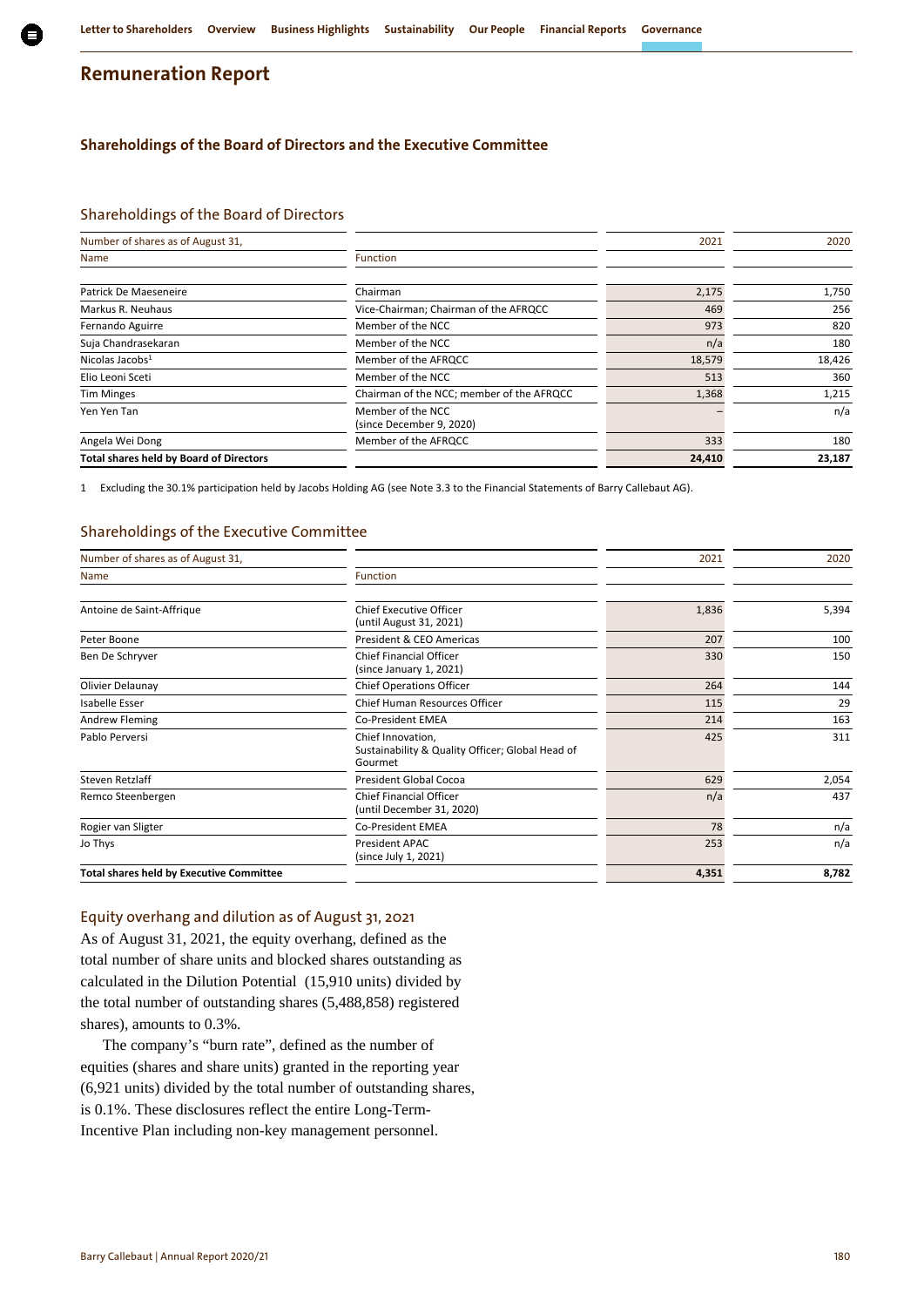## **Shareholdings of the Board of Directors and the Executive Committee**

## Shareholdings of the Board of Directors

| Number of shares as of August 31,              |                                               | 2021   | 2020   |
|------------------------------------------------|-----------------------------------------------|--------|--------|
| Name                                           | Function                                      |        |        |
| Patrick De Maeseneire                          | Chairman                                      |        | 1,750  |
|                                                |                                               | 2,175  |        |
| Markus R. Neuhaus                              | Vice-Chairman; Chairman of the AFRQCC         | 469    | 256    |
| Fernando Aguirre                               | Member of the NCC                             | 973    | 820    |
| Suja Chandrasekaran                            | Member of the NCC                             | n/a    | 180    |
| Nicolas Jacobs <sup>1</sup>                    | Member of the AFRQCC                          | 18,579 | 18,426 |
| Elio Leoni Sceti                               | Member of the NCC                             | 513    | 360    |
| <b>Tim Minges</b>                              | Chairman of the NCC; member of the AFRQCC     | 1,368  | 1,215  |
| Yen Yen Tan                                    | Member of the NCC<br>(since December 9, 2020) |        | n/a    |
| Angela Wei Dong                                | Member of the AFROCC                          | 333    | 180    |
| <b>Total shares held by Board of Directors</b> |                                               | 24,410 | 23,187 |

1 Excluding the 30.1% participation held by Jacobs Holding AG (see Note 3.3 to the Financial Statements of Barry Callebaut AG).

## Shareholdings of the Executive Committee

| Number of shares as of August 31,               |                                                                                  | 2021  | 2020  |
|-------------------------------------------------|----------------------------------------------------------------------------------|-------|-------|
| Name                                            | <b>Function</b>                                                                  |       |       |
| Antoine de Saint-Affrique                       | Chief Executive Officer<br>(until August 31, 2021)                               | 1,836 | 5,394 |
| Peter Boone                                     | President & CEO Americas                                                         | 207   | 100   |
| Ben De Schryver                                 | <b>Chief Financial Officer</b><br>(since January 1, 2021)                        | 330   | 150   |
| Olivier Delaunay                                | <b>Chief Operations Officer</b>                                                  | 264   | 144   |
| Isabelle Esser                                  | <b>Chief Human Resources Officer</b>                                             | 115   | 29    |
| Andrew Fleming                                  | <b>Co-President EMEA</b>                                                         | 214   | 163   |
| Pablo Perversi                                  | Chief Innovation,<br>Sustainability & Quality Officer; Global Head of<br>Gourmet | 425   | 311   |
| Steven Retzlaff                                 | President Global Cocoa                                                           | 629   | 2,054 |
| Remco Steenbergen                               | <b>Chief Financial Officer</b><br>(until December 31, 2020)                      | n/a   | 437   |
| Rogier van Sligter                              | <b>Co-President EMEA</b>                                                         | 78    | n/a   |
| Jo Thys                                         | President APAC<br>(since July 1, 2021)                                           | 253   | n/a   |
| <b>Total shares held by Executive Committee</b> |                                                                                  | 4,351 | 8,782 |
|                                                 |                                                                                  |       |       |

#### Equity overhang and dilution as of August 31, 2021

As of August 31, 2021, the equity overhang, defined as the total number of share units and blocked shares outstanding as calculated in the Dilution Potential (15,910 units) divided by the total number of outstanding shares (5,488,858) registered shares), amounts to 0.3%.

The company's "burn rate", defined as the number of equities (shares and share units) granted in the reporting year (6,921 units) divided by the total number of outstanding shares, is 0.1%. These disclosures reflect the entire Long-Term-Incentive Plan including non-key management personnel.